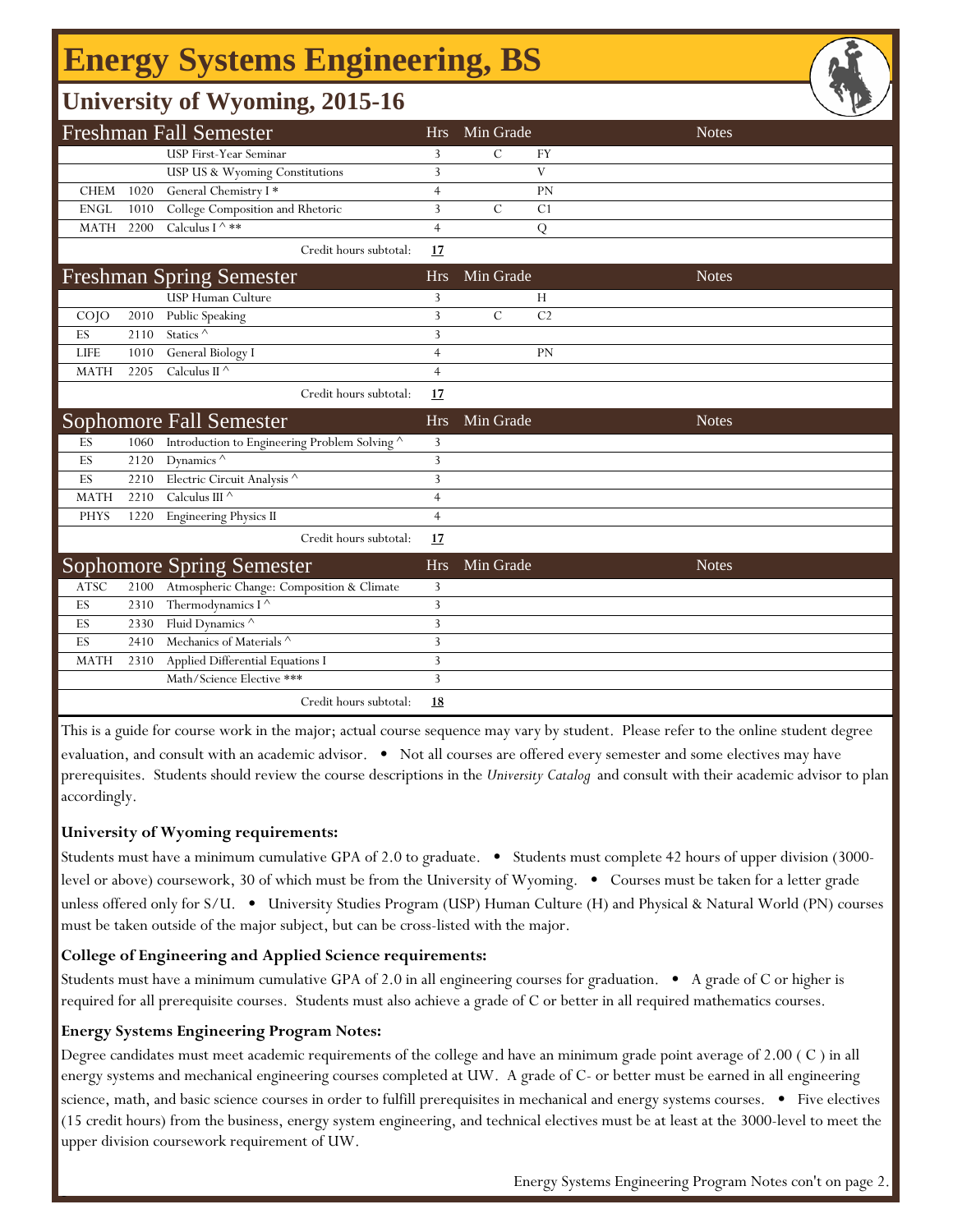# **Energy Systems Engineering, BS**

## **University of Wyoming, 2015-16**

|             |      | <b>Freshman Fall Semester</b>               | <b>Hrs</b>     | Min Grade     |                | <b>Notes</b> |
|-------------|------|---------------------------------------------|----------------|---------------|----------------|--------------|
|             |      | USP First-Year Seminar                      | 3              | C             | <b>FY</b>      |              |
|             |      | USP US & Wyoming Constitutions              | 3              |               | V              |              |
| <b>CHEM</b> | 1020 | General Chemistry I*                        | $\overline{4}$ |               | PN             |              |
| <b>ENGL</b> | 1010 | College Composition and Rhetoric            | 3              | $\mathcal{C}$ | C <sub>1</sub> |              |
| <b>MATH</b> | 2200 | Calculus I $\wedge$ **                      | $\overline{4}$ |               | Q              |              |
|             |      | Credit hours subtotal:                      | 17             |               |                |              |
|             |      | <b>Freshman Spring Semester</b>             | <b>Hrs</b>     | Min Grade     |                | <b>Notes</b> |
|             |      | USP Human Culture                           | 3              |               | H              |              |
| $CO$ $JO$   | 2010 | <b>Public Speaking</b>                      | 3              | $\mathcal{C}$ | C <sub>2</sub> |              |
| ES          | 2110 | Statics <sup>^</sup>                        | 3              |               |                |              |
| <b>LIFE</b> | 1010 | General Biology I                           | $\overline{4}$ |               | PN             |              |
| <b>MATH</b> | 2205 | Calculus II $\wedge$                        | $\overline{4}$ |               |                |              |
|             |      | Credit hours subtotal:                      | 17             |               |                |              |
|             |      | <b>Sophomore Fall Semester</b>              | <b>Hrs</b>     | Min Grade     |                | <b>Notes</b> |
| ES          | 1060 | Introduction to Engineering Problem Solving | 3              |               |                |              |
| ES          | 2120 | Dynamics $\wedge$                           | 3              |               |                |              |
| ES          | 2210 | Electric Circuit Analysis ^                 | 3              |               |                |              |
| <b>MATH</b> | 2210 | Calculus III $\wedge$                       | $\overline{4}$ |               |                |              |
| <b>PHYS</b> | 1220 | <b>Engineering Physics II</b>               | $\overline{4}$ |               |                |              |
|             |      | Credit hours subtotal:                      | 17             |               |                |              |
|             |      | <b>Sophomore Spring Semester</b>            | <b>Hrs</b>     | Min Grade     |                | <b>Notes</b> |
| <b>ATSC</b> | 2100 | Atmospheric Change: Composition & Climate   | 3              |               |                |              |
| ES          | 2310 | Thermodynamics I <sup>^</sup>               | 3              |               |                |              |
| ES          | 2330 | Fluid Dynamics ^                            | 3              |               |                |              |
| ES          | 2410 | Mechanics of Materials ^                    | 3              |               |                |              |
| <b>MATH</b> | 2310 | Applied Differential Equations I            | 3              |               |                |              |
|             |      | Math/Science Elective ***                   | 3              |               |                |              |
|             |      | Credit hours subtotal:                      | <u>18</u>      |               |                |              |

This is a guide for course work in the major; actual course sequence may vary by student. Please refer to the online student degree evaluation, and consult with an academic advisor. • Not all courses are offered every semester and some electives may have prerequisites. Students should review the course descriptions in the *University Catalog* and consult with their academic advisor to plan accordingly.

### **University of Wyoming requirements:**

Students must have a minimum cumulative GPA of 2.0 to graduate. • Students must complete 42 hours of upper division (3000 level or above) coursework, 30 of which must be from the University of Wyoming. • Courses must be taken for a letter grade unless offered only for S/U. • University Studies Program (USP) Human Culture (H) and Physical & Natural World (PN) courses must be taken outside of the major subject, but can be cross-listed with the major.

### **College of Engineering and Applied Science requirements:**

Students must have a minimum cumulative GPA of 2.0 in all engineering courses for graduation. • A grade of C or higher is required for all prerequisite courses. Students must also achieve a grade of C or better in all required mathematics courses.

#### **Energy Systems Engineering Program Notes:**

f

Degree candidates must meet academic requirements of the college and have an minimum grade point average of 2.00 ( C ) in all energy systems and mechanical engineering courses completed at UW. A grade of C- or better must be earned in all engineering science, math, and basic science courses in order to fulfill prerequisites in mechanical and energy systems courses. • Five electives (15 credit hours) from the business, energy system engineering, and technical electives must be at least at the 3000-level to meet the upper division coursework requirement of UW.

Energy Systems Engineering Program Notes con't on page 2.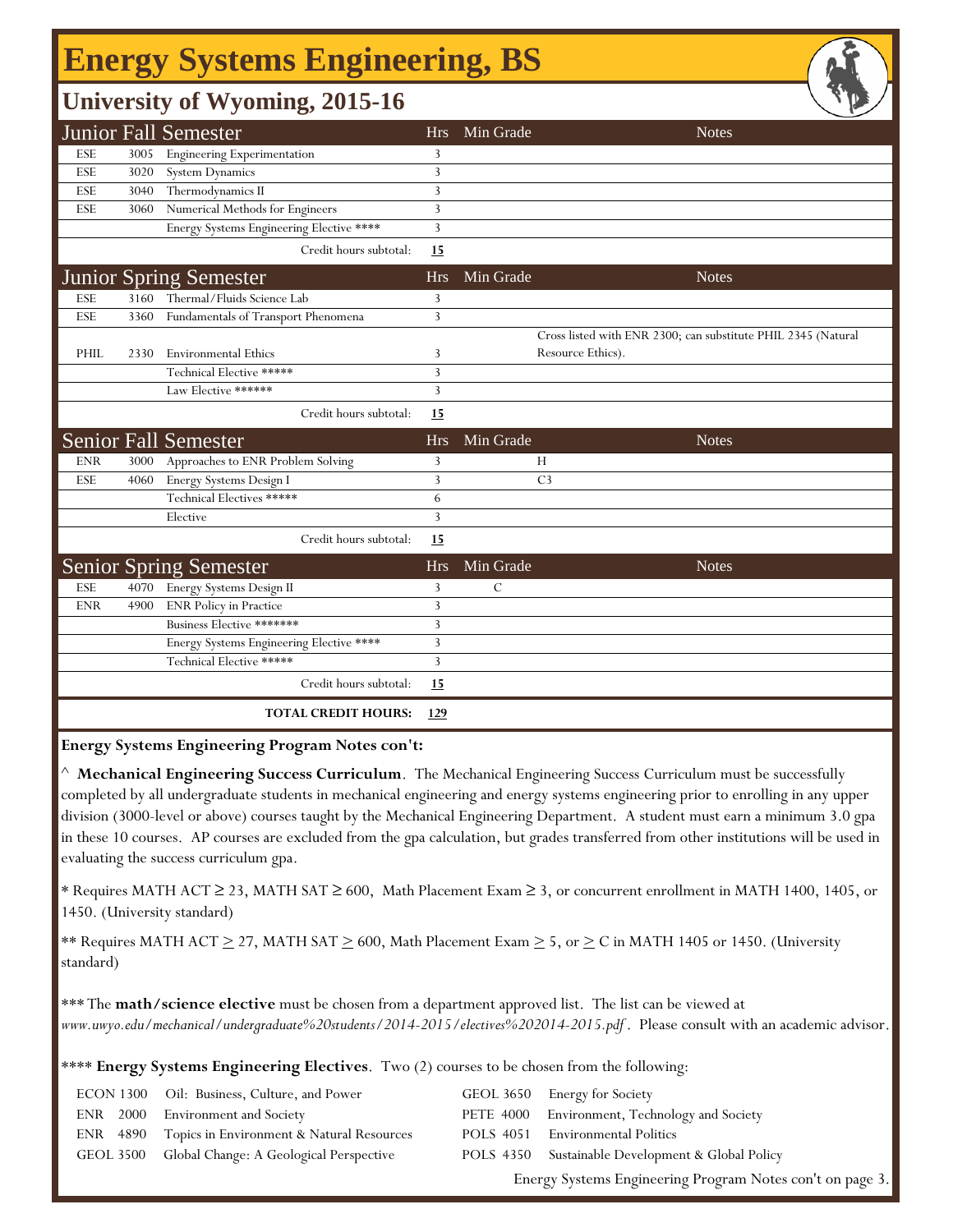# **Energy Systems Engineering, BS**

## **University of Wyoming, 2015-16**

|            |      | <b>Junior Fall Semester</b>              | <b>Hrs</b> | Min Grade      | <b>Notes</b>                                                  |
|------------|------|------------------------------------------|------------|----------------|---------------------------------------------------------------|
| <b>ESE</b> | 3005 | <b>Engineering Experimentation</b>       | 3          |                |                                                               |
| <b>ESE</b> | 3020 | <b>System Dynamics</b>                   | 3          |                |                                                               |
| ESE        | 3040 | Thermodynamics II                        | 3          |                |                                                               |
| <b>ESE</b> | 3060 | Numerical Methods for Engineers          | 3          |                |                                                               |
|            |      | Energy Systems Engineering Elective **** | 3          |                |                                                               |
|            |      | Credit hours subtotal:                   | 15         |                |                                                               |
|            |      | <b>Junior Spring Semester</b>            | <b>Hrs</b> | Min Grade      | <b>Notes</b>                                                  |
| <b>ESE</b> | 3160 | Thermal/Fluids Science Lab               | 3          |                |                                                               |
| ESE        | 3360 | Fundamentals of Transport Phenomena      | 3          |                |                                                               |
|            |      |                                          |            |                | Cross listed with ENR 2300; can substitute PHIL 2345 (Natural |
| PHIL       | 2330 | <b>Environmental Ethics</b>              | 3          |                | Resource Ethics).                                             |
|            |      | Technical Elective *****                 | 3          |                |                                                               |
|            |      | Law Elective ******                      | 3          |                |                                                               |
|            |      | Credit hours subtotal:                   | 15         |                |                                                               |
|            |      | <b>Senior Fall Semester</b>              | <b>Hrs</b> | Min Grade      | <b>Notes</b>                                                  |
| <b>ENR</b> | 3000 | Approaches to ENR Problem Solving        | 3          | Н              |                                                               |
| <b>ESE</b> | 4060 | Energy Systems Design I                  | 3          | C <sub>3</sub> |                                                               |
|            |      | Technical Electives *****                | 6          |                |                                                               |
|            |      | Elective                                 | 3          |                |                                                               |
|            |      | Credit hours subtotal:                   | 15         |                |                                                               |
|            |      | <b>Senior Spring Semester</b>            | <b>Hrs</b> | Min Grade      | <b>Notes</b>                                                  |
| <b>ESE</b> | 4070 | Energy Systems Design II                 | 3          | $\mathcal{C}$  |                                                               |
| <b>ENR</b> | 4900 | <b>ENR Policy in Practice</b>            | 3          |                |                                                               |
|            |      | Business Elective *******                | 3          |                |                                                               |
|            |      | Energy Systems Engineering Elective **** | 3          |                |                                                               |
|            |      | Technical Elective *****                 | 3          |                |                                                               |
|            |      | Credit hours subtotal:                   | 15         |                |                                                               |
|            |      | <b>TOTAL CREDIT HOURS:</b>               | 129        |                |                                                               |

**Energy Systems Engineering Program Notes con't:**

^ **Mechanical Engineering Success Curriculum**. The Mechanical Engineering Success Curriculum must be successfully completed by all undergraduate students in mechanical engineering and energy systems engineering prior to enrolling in any upper division (3000-level or above) courses taught by the Mechanical Engineering Department. A student must earn a minimum 3.0 gpa in these 10 courses. AP courses are excluded from the gpa calculation, but grades transferred from other institutions will be used in evaluating the success curriculum gpa.

\* Requires MATH ACT ≥ 23, MATH SAT ≥ 600, Math Placement Exam ≥ 3, or concurrent enrollment in MATH 1400, 1405, or 1450. (University standard)

\*\* Requires MATH ACT  $\geq$  27, MATH SAT  $\geq$  600, Math Placement Exam  $\geq$  5, or  $\geq$  C in MATH 1405 or 1450. (University standard)

\*\*\* The **math/science elective** must be chosen from a department approved list. The list can be viewed at *www.uwyo.edu/mechanical/undergraduate%20students/2014-2015/electives%202014-2015.pdf* . Please consult with an academic advisor.

\*\*\*\* **Energy Systems Engineering Electives**. Two (2) courses to be chosen from the following:

|  | ECON 1300 Oil: Business, Culture, and Power        | GEOL 3650 Energy for Society                             |
|--|----------------------------------------------------|----------------------------------------------------------|
|  | ENR 2000 Environment and Society                   | PETE 4000 Environment, Technology and Society            |
|  |                                                    |                                                          |
|  | ENR 4890 Topics in Environment & Natural Resources | POLS 4051 Environmental Politics                         |
|  | GEOL 3500 Global Change: A Geological Perspective  | POLS 4350 Sustainable Development & Global Policy        |
|  |                                                    | Energy Systems Engineering Program Notes con't on page 3 |